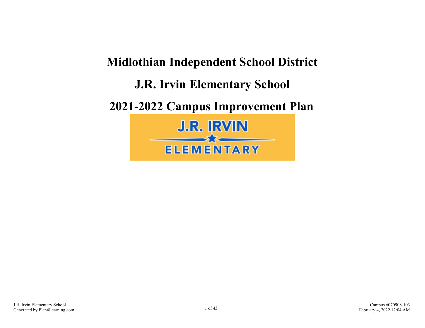# **Midlothian Independent School District J.R. Irvin Elementary School 2021-2022 Campus Improvement Plan J.R. IRVIN**  $\longrightarrow \qquad$ **ELEMENTARY**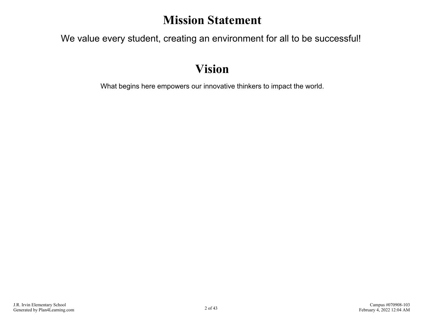### **Mission Statement**

We value every student, creating an environment for all to be successful!

### **Vision**

What begins here empowers our innovative thinkers to impact the world.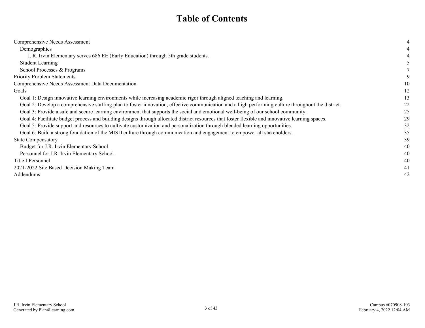### **Table of Contents**

| Comprehensive Needs Assessment                                                                                                                     |    |
|----------------------------------------------------------------------------------------------------------------------------------------------------|----|
| Demographics                                                                                                                                       |    |
| J. R. Irvin Elementary serves 686 EE (Early Education) through 5th grade students.                                                                 |    |
| <b>Student Learning</b>                                                                                                                            |    |
| School Processes & Programs                                                                                                                        |    |
| <b>Priority Problem Statements</b>                                                                                                                 |    |
| Comprehensive Needs Assessment Data Documentation                                                                                                  | 10 |
| Goals                                                                                                                                              | 12 |
| Goal 1: Design innovative learning environments while increasing academic rigor through aligned teaching and learning.                             | 13 |
| Goal 2: Develop a comprehensive staffing plan to foster innovation, effective communication and a high performing culture throughout the district. | 22 |
| Goal 3: Provide a safe and secure learning environment that supports the social and emotional well-being of our school community.                  | 25 |
| Goal 4: Facilitate budget process and building designs through allocated district resources that foster flexible and innovative learning spaces.   | 29 |
| Goal 5: Provide support and resources to cultivate customization and personalization through blended learning opportunities.                       | 32 |
| Goal 6: Build a strong foundation of the MISD culture through communication and engagement to empower all stakeholders.                            | 35 |
| <b>State Compensatory</b>                                                                                                                          | 39 |
| Budget for J.R. Irvin Elementary School                                                                                                            | 40 |
| Personnel for J.R. Irvin Elementary School                                                                                                         | 40 |
| Title I Personnel                                                                                                                                  | 40 |
| 2021-2022 Site Based Decision Making Team                                                                                                          | 41 |
| Addendums                                                                                                                                          | 42 |
|                                                                                                                                                    |    |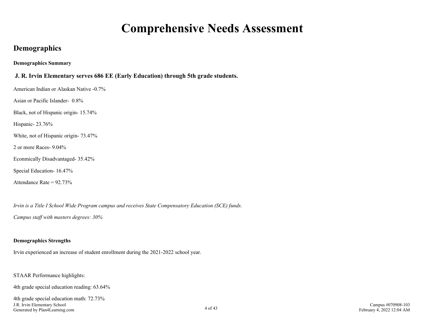### **Comprehensive Needs Assessment**

### <span id="page-3-0"></span>**Demographics**

**Demographics Summary**

#### **J. R. Irvin Elementary serves 686 EE (Early Education) through 5th grade students.**

American Indian or Alaskan Native -0.7%

Asian or Pacific Islander- 0.8%

Black, not of Hispanic origin- 15.74%

Hispanic- 23.76%

White, not of Hispanic origin- 73.47%

2 or more Races- 9.04%

Econmically Disadvantaged- 35.42%

Special Education- 16.47%

Attendance Rate =  $92.73\%$ 

*Irvin is a Title I School Wide Program campus and receives State Compensatory Education (SCE) funds.*

*Campus staff with masters degrees: 30%* 

#### **Demographics Strengths**

Irvin experienced an increase of student enrollment during the 2021-2022 school year.

STAAR Performance highlights:

4th grade special education reading: 63.64%

4th grade special education math: 72.73% J.R. Irvin Elementary School Generated by Plan4Learning.com 4 of 43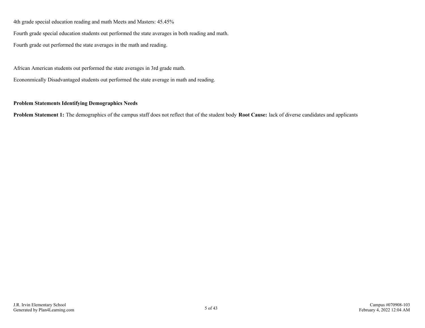4th grade special education reading and math Meets and Masters: 45.45%

Fourth grade special education students out performed the state averages in both reading and math.

Fourth grade out performed the state averages in the math and reading.

African American students out performed the state averages in 3rd grade math.

Econonmically Disadvantaged students out performed the state average in math and reading.

#### **Problem Statements Identifying Demographics Needs**

**Problem Statement 1:** The demographics of the campus staff does not reflect that of the student body **Root Cause:** lack of diverse candidates and applicants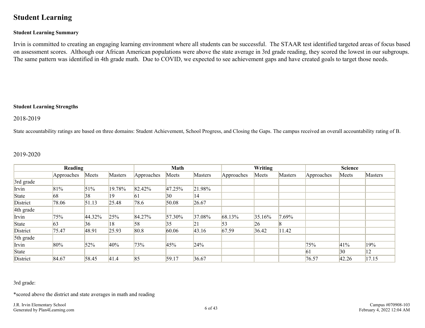### <span id="page-5-0"></span>**Student Learning**

#### **Student Learning Summary**

Irvin is committed to creating an engaging learning environment where all students can be successful. The STAAR test identified targeted areas of focus based on assessment scores. Although our African American populations were above the state average in 3rd grade reading, they scored the lowest in our subgroups. The same pattern was identified in 4th grade math. Due to COVID, we expected to see achievement gaps and have created goals to target those needs.

#### **Student Learning Strengths**

#### 2018-2019

State accountability ratings are based on three domains: Student Achievement, School Progress, and Closing the Gaps. The campus received an overall accountability rating of B.

#### 2019-2020

|           | Reading    |        |                |            | Math         |                |            | Writing |                | <b>Science</b> |       |                |
|-----------|------------|--------|----------------|------------|--------------|----------------|------------|---------|----------------|----------------|-------|----------------|
|           | Approaches | Meets  | <b>Masters</b> | Approaches | Meets        | <b>Masters</b> | Approaches | Meets   | <b>Masters</b> | Approaches     | Meets | <b>Masters</b> |
| 3rd grade |            |        |                |            |              |                |            |         |                |                |       |                |
| Irvin     | 81%        | 51%    | 19.78%         | 82.42%     | 47.25%       | 21.98%         |            |         |                |                |       |                |
| State     | 68         | 38     | 19             | 61         | $ 30\rangle$ | 14             |            |         |                |                |       |                |
| District  | 78.06      | 51.13  | 25.48          | 78.6       | 50.08        | 26.67          |            |         |                |                |       |                |
| 4th grade |            |        |                |            |              |                |            |         |                |                |       |                |
| Irvin     | 75%        | 44.32% | 25%            | 84.27%     | 57.30%       | 37.08%         | 68.13%     | 35.16%  | $.69\%$        |                |       |                |
| State     | 63         | 36     | 18             | 58         | 35           | 21             | 53         | 26      | ıχ             |                |       |                |
| District  | 75.47      | 48.91  | 25.93          | 80.8       | 60.06        | 43.16          | 67.59      | 36.42   | 11.42          |                |       |                |
| 5th grade |            |        |                |            |              |                |            |         |                |                |       |                |
| Irvin     | 80%        | 52%    | 40%            | 73%        | 45%          | 24%            |            |         |                | 75%            | 41%   | 19%            |
| State     |            |        |                |            |              |                |            |         |                | $\vert 61$     | 30    | 12             |
| District  | 84.67      | 58.45  | 41.4           | 85         | 59.17        | 36.67          |            |         |                | 76.57          | 42.26 | 17.15          |

3rd grade:

\*scored above the district and state averages in math and reading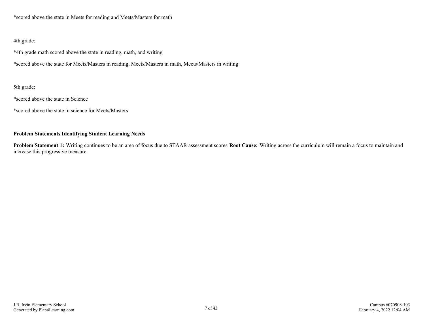\*scored above the state in Meets for reading and Meets/Masters for math

#### 4th grade:

\*4th grade math scored above the state in reading, math, and writing

\*scored above the state for Meets/Masters in reading, Meets/Masters in math, Meets/Masters in writing

#### 5th grade:

\*scored above the state in Science

\*scored above the state in science for Meets/Masters

#### **Problem Statements Identifying Student Learning Needs**

**Problem Statement 1:** Writing continues to be an area of focus due to STAAR assessment scores **Root Cause:** Writing across the curriculum will remain a focus to maintain and increase this progressive measure.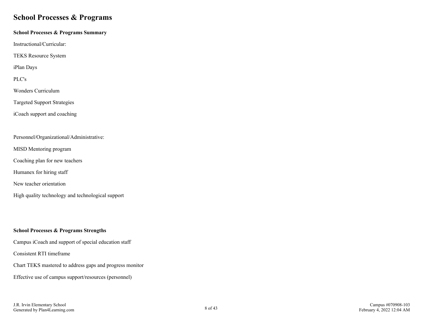### <span id="page-7-0"></span>**School Processes & Programs**

#### **School Processes & Programs Summary**

Instructional/Curricular:

TEKS Resource System

iPlan Days

PLC's

Wonders Curriculum

Targeted Support Strategies

iCoach support and coaching

#### Personnel/Organizational/Administrative:

MISD Mentoring program

Coaching plan for new teachers

Humanex for hiring staff

New teacher orientation

High quality technology and technological support

#### **School Processes & Programs Strengths**

Campus iCoach and support of special education staff

Consistent RTI timeframe

Chart TEKS mastered to address gaps and progress monitor

Effective use of campus support/resources (personnel)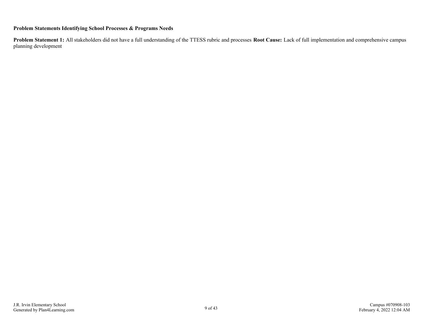#### **Problem Statements Identifying School Processes & Programs Needs**

**Problem Statement 1:** All stakeholders did not have a full understanding of the TTESS rubric and processes **Root Cause:** Lack of full implementation and comprehensive campus planning development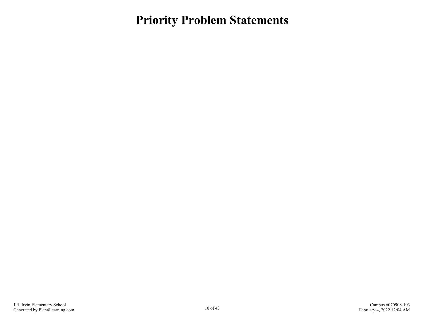<span id="page-9-0"></span>**Priority Problem Statements**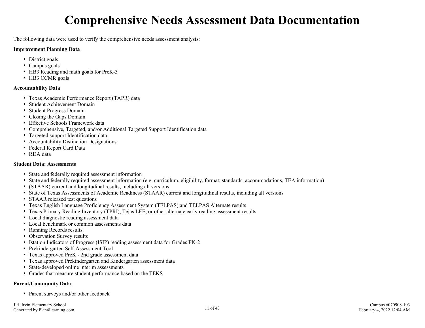## **Comprehensive Needs Assessment Data Documentation**

<span id="page-10-0"></span>The following data were used to verify the comprehensive needs assessment analysis:

#### **Improvement Planning Data**

- District goals
- Campus goals
- HB3 Reading and math goals for PreK-3
- HB3 CCMR goals

#### **Accountability Data**

- Texas Academic Performance Report (TAPR) data
- Student Achievement Domain
- Student Progress Domain
- Closing the Gaps Domain
- Effective Schools Framework data
- Comprehensive, Targeted, and/or Additional Targeted Support Identification data
- Targeted support Identification data
- Accountability Distinction Designations
- Federal Report Card Data
- RDA data

#### **Student Data: Assessments**

- State and federally required assessment information
- State and federally required assessment information (e.g. curriculum, eligibility, format, standards, accommodations, TEA information)
- (STAAR) current and longitudinal results, including all versions
- State of Texas Assessments of Academic Readiness (STAAR) current and longitudinal results, including all versions
- STAAR released test questions
- Texas English Language Proficiency Assessment System (TELPAS) and TELPAS Alternate results
- Texas Primary Reading Inventory (TPRI), Tejas LEE, or other alternate early reading assessment results
- Local diagnostic reading assessment data
- Local benchmark or common assessments data
- Running Records results
- Observation Survey results
- Istation Indicators of Progress (ISIP) reading assessment data for Grades PK-2
- Prekindergarten Self-Assessment Tool
- Texas approved PreK 2nd grade assessment data
- Texas approved Prekindergarten and Kindergarten assessment data
- State-developed online interim assessments
- Grades that measure student performance based on the TEKS

#### **Parent/Community Data**

• Parent surveys and/or other feedback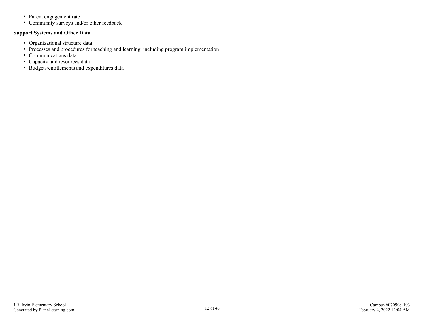- Parent engagement rate
- Community surveys and/or other feedback

#### **Support Systems and Other Data**

- Organizational structure data
- Processes and procedures for teaching and learning, including program implementation
- Communications data
- Capacity and resources data
- Budgets/entitlements and expenditures data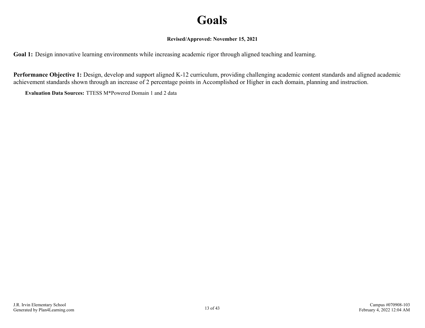## **Goals**

#### **Revised/Approved: November 15, 2021**

<span id="page-12-0"></span>**Goal 1:** Design innovative learning environments while increasing academic rigor through aligned teaching and learning.

**Performance Objective 1:** Design, develop and support aligned K-12 curriculum, providing challenging academic content standards and aligned academic achievement standards shown through an increase of 2 percentage points in Accomplished or Higher in each domain, planning and instruction.

**Evaluation Data Sources:** TTESS M\*Powered Domain 1 and 2 data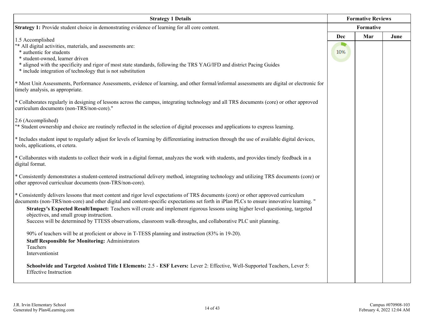| <b>Strategy 1 Details</b>                                                                                                                                                                              |           |     | <b>Formative Reviews</b> |  |  |
|--------------------------------------------------------------------------------------------------------------------------------------------------------------------------------------------------------|-----------|-----|--------------------------|--|--|
| Strategy 1: Provide student choice in demonstrating evidence of learning for all core content.                                                                                                         | Formative |     |                          |  |  |
| 1.5 Accomplished                                                                                                                                                                                       | Dec       | Mar | June                     |  |  |
| "* All digital activities, materials, and assessments are:                                                                                                                                             |           |     |                          |  |  |
| * authentic for students                                                                                                                                                                               | 10%       |     |                          |  |  |
| * student-owned, learner driven                                                                                                                                                                        |           |     |                          |  |  |
| * aligned with the specificity and rigor of most state standards, following the TRS YAG/IFD and district Pacing Guides<br>* include integration of technology that is not substitution                 |           |     |                          |  |  |
| * Most Unit Assessments, Performance Assessments, evidence of learning, and other formal/informal assessments are digital or electronic for<br>timely analysis, as appropriate.                        |           |     |                          |  |  |
| * Collaborates regularly in designing of lessons across the campus, integrating technology and all TRS documents (core) or other approved<br>curriculum documents (non-TRS/non-core)."                 |           |     |                          |  |  |
| 2.6 (Accomplished)                                                                                                                                                                                     |           |     |                          |  |  |
| "* Student ownership and choice are routinely reflected in the selection of digital processes and applications to express learning.                                                                    |           |     |                          |  |  |
| * Includes student input to regularly adjust for levels of learning by differentiating instruction through the use of available digital devices,<br>tools, applications, et cetera.                    |           |     |                          |  |  |
| * Collaborates with students to collect their work in a digital format, analyzes the work with students, and provides timely feedback in a<br>digital format.                                          |           |     |                          |  |  |
| * Consistently demonstrates a student-centered instructional delivery method, integrating technology and utilizing TRS documents (core) or<br>other approved curriculuar documents (non-TRS/non-core). |           |     |                          |  |  |
| * Consistently delivers lessons that meet content and rigor level expectations of TRS documents (core) or other approved curriculum                                                                    |           |     |                          |  |  |
| documents (non-TRS/non-core) and other digital and content-specific expectations set forth in iPlan PLCs to ensure innovative learning. "                                                              |           |     |                          |  |  |
| Strategy's Expected Result/Impact: Teachers will create and implement rigorous lessons using higher level questioning, targeted                                                                        |           |     |                          |  |  |
| objectives, and small group instruction.<br>Success will be determined by TTESS observations, classroom walk-throughs, and collaborative PLC unit planning.                                            |           |     |                          |  |  |
|                                                                                                                                                                                                        |           |     |                          |  |  |
| 90% of teachers will be at proficient or above in T-TESS planning and instruction (83% in 19-20).                                                                                                      |           |     |                          |  |  |
| <b>Staff Responsible for Monitoring: Administrators</b>                                                                                                                                                |           |     |                          |  |  |
| Teachers                                                                                                                                                                                               |           |     |                          |  |  |
| Interventionist                                                                                                                                                                                        |           |     |                          |  |  |
| Schoolwide and Targeted Assisted Title I Elements: 2.5 - ESF Levers: Lever 2: Effective, Well-Supported Teachers, Lever 5:<br><b>Effective Instruction</b>                                             |           |     |                          |  |  |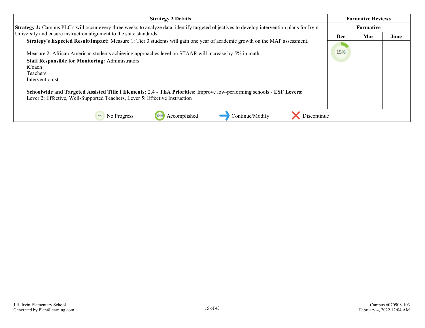| <b>Strategy 2 Details</b>                                                                                                                                                                                                                                                                                                                                                                                                                                                                                                                              |     | <b>Formative Reviews</b> |      |  |  |
|--------------------------------------------------------------------------------------------------------------------------------------------------------------------------------------------------------------------------------------------------------------------------------------------------------------------------------------------------------------------------------------------------------------------------------------------------------------------------------------------------------------------------------------------------------|-----|--------------------------|------|--|--|
| <b>Strategy 2:</b> Campus PLC's will occur every three weeks to analyze data, identify targeted objectives to develop intervention plans for Irvin                                                                                                                                                                                                                                                                                                                                                                                                     |     | <b>Formative</b>         |      |  |  |
| University and ensure instruction alignment to the state standards.                                                                                                                                                                                                                                                                                                                                                                                                                                                                                    | Dec | Mar                      | June |  |  |
| <b>Strategy's Expected Result/Impact:</b> Measure 1: Tier 3 students will gain one year of academic growth on the MAP assessment.<br>Measure 2: African American students achieving approaches level on STAAR will increase by 5% in math.<br><b>Staff Responsible for Monitoring: Administrators</b><br>iCoach<br>Teachers<br>Interventionist<br>Schoolwide and Targeted Assisted Title I Elements: 2.4 - TEA Priorities: Improve low-performing schools - ESF Levers:<br>Lever 2: Effective, Well-Supported Teachers, Lever 5: Effective Instruction | 15% |                          |      |  |  |
| Accomplished<br>Continue/Modify<br>0%<br>No Progress<br>100%<br>Discontinue                                                                                                                                                                                                                                                                                                                                                                                                                                                                            |     |                          |      |  |  |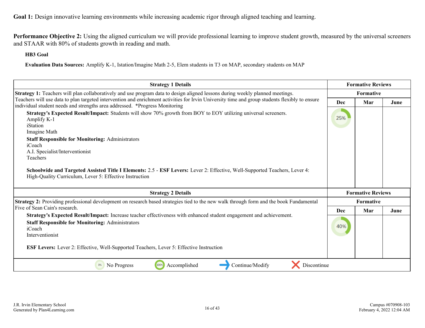**Performance Objective 2:** Using the aligned curriculum we will provide professional learning to improve student growth, measured by the universal screeners and STAAR with 80% of students growth in reading and math.

#### **HB3 Goal**

**Evaluation Data Sources:** Amplify K-1, Istation/Imagine Math 2-5, Elem students in T3 on MAP, secondary students on MAP

| <b>Strategy 1 Details</b>                                                                                                                                                                                                     |            | <b>Formative Reviews</b> |      |  |  |
|-------------------------------------------------------------------------------------------------------------------------------------------------------------------------------------------------------------------------------|------------|--------------------------|------|--|--|
| Strategy 1: Teachers will plan collaboratively and use program data to design aligned lessons during weekly planned meetings.                                                                                                 |            | <b>Formative</b>         |      |  |  |
| Teachers will use data to plan targeted intervention and enrichment activities for Irvin University time and group students flexibly to ensure<br>individual student needs and strengths area addressed. *Progress Monitoring | <b>Dec</b> | Mar                      | June |  |  |
| Strategy's Expected Result/Impact: Students will show 70% growth from BOY to EOY utilizing universal screeners.<br>Amplify K-1<br>iStation<br>Imagine Math                                                                    | 25%        |                          |      |  |  |
| <b>Staff Responsible for Monitoring: Administrators</b><br>iCoach<br>A.I. Specialist/Interventionist<br>Teachers                                                                                                              |            |                          |      |  |  |
| Schoolwide and Targeted Assisted Title I Elements: 2.5 - ESF Levers: Lever 2: Effective, Well-Supported Teachers, Lever 4:<br>High-Quality Curriculum, Lever 5: Effective Instruction                                         |            |                          |      |  |  |
| <b>Strategy 2 Details</b>                                                                                                                                                                                                     |            | <b>Formative Reviews</b> |      |  |  |
| Strategy 2: Providing professional development on research based strategies tied to the new walk through form and the book Fundamental                                                                                        |            | <b>Formative</b>         |      |  |  |
| Five of Sean Cain's research.                                                                                                                                                                                                 | <b>Dec</b> | Mar                      | June |  |  |
| Strategy's Expected Result/Impact: Increase teacher effectiveness with enhanced student engagement and achievement.<br><b>Staff Responsible for Monitoring: Administrators</b><br>iCoach<br>Interventionist                   | 40%        |                          |      |  |  |
| <b>ESF Levers:</b> Lever 2: Effective, Well-Supported Teachers, Lever 5: Effective Instruction                                                                                                                                |            |                          |      |  |  |
| 100%<br>Continue/Modify<br>Discontinue<br>Accomplished<br>0%<br>No Progress                                                                                                                                                   |            |                          |      |  |  |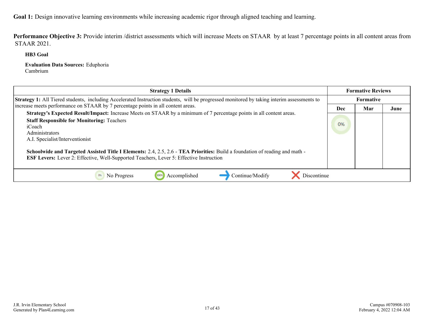Performance Objective 3: Provide interim /district assessments which will increase Meets on STAAR by at least 7 percentage points in all content areas from STAAR 2021.

**HB3 Goal**

**Evaluation Data Sources:** Eduphoria Cambrium

| <b>Strategy 1 Details</b>                                                                                                                                                                                                                                                                                                                                                                                                                                                        |     | <b>Formative Reviews</b> |      |
|----------------------------------------------------------------------------------------------------------------------------------------------------------------------------------------------------------------------------------------------------------------------------------------------------------------------------------------------------------------------------------------------------------------------------------------------------------------------------------|-----|--------------------------|------|
| Strategy 1: All Tiered students, including Accelerated Instruction students, will be progressed monitored by taking interim assessments to                                                                                                                                                                                                                                                                                                                                       |     | <b>Formative</b>         |      |
| increase meets performance on STAAR by 7 percentage points in all content areas.                                                                                                                                                                                                                                                                                                                                                                                                 | Dec | Mar                      | June |
| Strategy's Expected Result/Impact: Increase Meets on STAAR by a minimum of 7 percentage points in all content areas.<br><b>Staff Responsible for Monitoring: Teachers</b><br>iCoach<br>Administrators<br>A.I. Specialist/Interventionist<br><b>Schoolwide and Targeted Assisted Title I Elements:</b> 2.4, 2.5, 2.6 - TEA Priorities: Build a foundation of reading and math -<br><b>ESF Levers:</b> Lever 2: Effective, Well-Supported Teachers, Lever 5: Effective Instruction | 0%  |                          |      |
| Accomplished<br>Continue/Modify<br>Discontinue<br>No Progress<br>100%                                                                                                                                                                                                                                                                                                                                                                                                            |     |                          |      |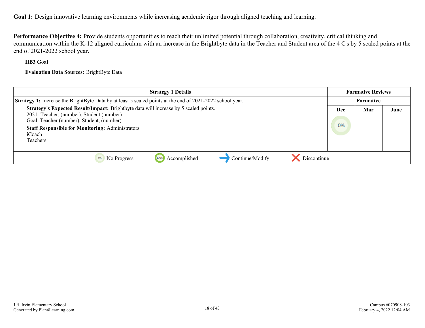**Performance Objective 4:** Provide students opportunities to reach their unlimited potential through collaboration, creativity, critical thinking and communication within the K-12 aligned curriculum with an increase in the Brightbyte data in the Teacher and Student area of the 4 C's by 5 scaled points at the end of 2021-2022 school year.

#### **HB3 Goal**

**Evaluation Data Sources:** BrightByte Data

| <b>Strategy 1 Details</b>                                                                                                                                               |     | <b>Formative Reviews</b> |      |
|-------------------------------------------------------------------------------------------------------------------------------------------------------------------------|-----|--------------------------|------|
| <b>Strategy 1:</b> Increase the BrightByte Data by at least 5 scaled points at the end of 2021-2022 school year.                                                        |     | Formative                |      |
| Strategy's Expected Result/Impact: Brightbyte data will increase by 5 scaled points.                                                                                    | Dec | Mar                      | June |
| 2021: Teacher, (number). Student (number)<br>Goal: Teacher (number), Student, (number)<br><b>Staff Responsible for Monitoring: Administrators</b><br>iCoach<br>Teachers | 0%  |                          |      |
| Discontinue<br>Continue/Modify<br>Accomplished<br>No Progress<br>0%<br>1009                                                                                             |     |                          |      |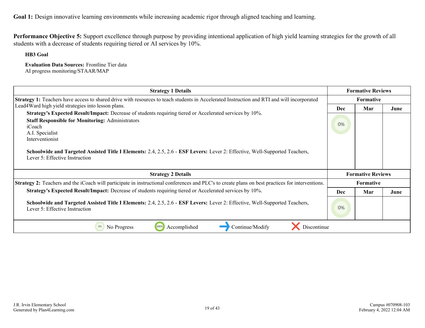**Performance Objective 5:** Support excellence through purpose by providing intentional application of high yield learning strategies for the growth of all students with a decrease of students requiring tiered or AI services by 10%.

**HB3 Goal**

**Evaluation Data Sources:** Frontline Tier data AI progress monitoring/STAAR/MAP

| <b>Strategy 1 Details</b>                                                                                                                                                                                                                                                                                                                                                                          |                  | <b>Formative Reviews</b> |      |  |
|----------------------------------------------------------------------------------------------------------------------------------------------------------------------------------------------------------------------------------------------------------------------------------------------------------------------------------------------------------------------------------------------------|------------------|--------------------------|------|--|
| Strategy 1: Teachers have access to shared drive with resources to teach students in Accelerated Instruction and RTI and will incorporated                                                                                                                                                                                                                                                         | <b>Formative</b> |                          |      |  |
| Lead4Ward high yield strategies into lesson plans.                                                                                                                                                                                                                                                                                                                                                 | <b>Dec</b>       | Mar                      | June |  |
| Strategy's Expected Result/Impact: Decrease of students requiring tiered or Accelerated services by 10%.<br><b>Staff Responsible for Monitoring: Administrators</b><br>iCoach<br>A.I. Specialist<br>Interventionist<br><b>Schoolwide and Targeted Assisted Title I Elements:</b> 2.4, 2.5, 2.6 - <b>ESF Levers:</b> Lever 2: Effective, Well-Supported Teachers,<br>Lever 5: Effective Instruction | 0%               |                          |      |  |
| <b>Strategy 2 Details</b>                                                                                                                                                                                                                                                                                                                                                                          |                  | <b>Formative Reviews</b> |      |  |
| <b>Strategy 2:</b> Teachers and the iCoach will participate in instructional conferences and PLC's to create plans on best practices for interventions.                                                                                                                                                                                                                                            |                  | Formative                |      |  |
| Strategy's Expected Result/Impact: Decrease of students requiring tiered or Accelerated services by 10%.                                                                                                                                                                                                                                                                                           | <b>Dec</b>       | Mar                      | June |  |
| Schoolwide and Targeted Assisted Title I Elements: 2.4, 2.5, 2.6 - ESF Levers: Lever 2: Effective, Well-Supported Teachers,<br>Lever 5: Effective Instruction                                                                                                                                                                                                                                      | 0%               |                          |      |  |
| No Progress<br>100%<br>Accomplished<br>Continue/Modify<br>Discontinue                                                                                                                                                                                                                                                                                                                              |                  |                          |      |  |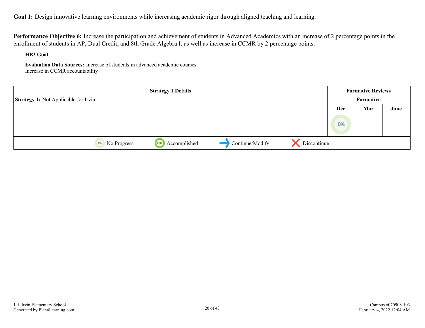**Performance Objective 6:** Increase the participation and achievement of students in Advanced Academics with an increase of 2 percentage points in the enrollment of students in AP, Dual Credit, and 8th Grade Algebra I, as well as increase in CCMR by 2 percentage points.

**HB3 Goal**

**Evaluation Data Sources:** Increase of students in advanced academic courses Increase in CCMR accountability

|                                             | <b>Strategy 1 Details</b> |                 |             |           | <b>Formative Reviews</b> |      |
|---------------------------------------------|---------------------------|-----------------|-------------|-----------|--------------------------|------|
| <b>Strategy 1:</b> Not Applicable for Irvin |                           |                 |             | Formative |                          |      |
|                                             |                           |                 |             | Dec       | Mar                      | June |
|                                             |                           |                 |             | 0%        |                          |      |
| 0%<br>No Progress                           | 100%<br>Accomplished      | Continue/Modify | Discontinue |           |                          |      |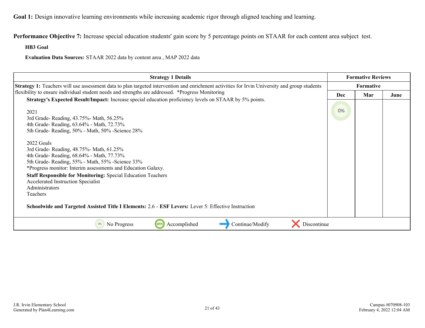**Performance Objective 7:** Increase special education students' gain score by 5 percentage points on STAAR for each content area subject test.

**HB3 Goal**

**Evaluation Data Sources:** STAAR 2022 data by content area , MAP 2022 data

| <b>Strategy 1 Details</b>                                                                                                                                                                                                                                               |                  | <b>Formative Reviews</b> |      |  |  |
|-------------------------------------------------------------------------------------------------------------------------------------------------------------------------------------------------------------------------------------------------------------------------|------------------|--------------------------|------|--|--|
| Strategy 1: Teachers will use assessment data to plan targeted intervention and enrichment activities for Irvin University and group students                                                                                                                           | <b>Formative</b> |                          |      |  |  |
| flexibility to ensure individual student needs and strengths are addressed. *Progress Monitoring                                                                                                                                                                        | Dec              | Mar                      | June |  |  |
| Strategy's Expected Result/Impact: Increase special education proficiency levels on STAAR by 5% points.<br>2021<br>3rd Grade-Reading, 43.75%-Math, 56.25%<br>4th Grade-Reading, 63.64% - Math, 72.73%<br>5th Grade-Reading, 50% - Math, 50% - Science 28%<br>2022 Goals | 0%               |                          |      |  |  |
| 3rd Grade-Reading, 48.75%-Math, 61.25%<br>4th Grade-Reading, 68.64% - Math, 77.73%<br>5th Grade-Reading, 55% - Math, 55% - Science 33%<br>*Progress monitor: Interim assessments and Education Galaxy.                                                                  |                  |                          |      |  |  |
| <b>Staff Responsible for Monitoring: Special Education Teachers</b><br>Accelerated Instruction Specialist<br>Administrators<br>Teachers                                                                                                                                 |                  |                          |      |  |  |
| Schoolwide and Targeted Assisted Title I Elements: 2.6 - ESF Levers: Lever 5: Effective Instruction                                                                                                                                                                     |                  |                          |      |  |  |
| 100%<br>Accomplished<br>Continue/Modify<br>Discontinue<br>No Progress<br>0%                                                                                                                                                                                             |                  |                          |      |  |  |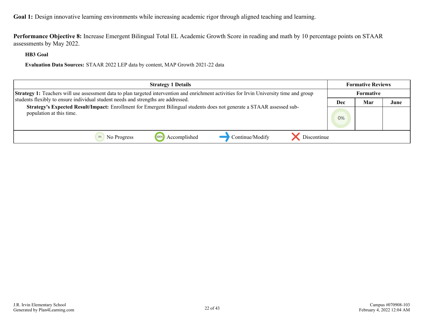**Performance Objective 8:** Increase Emergent Bilingual Total EL Academic Growth Score in reading and math by 10 percentage points on STAAR assessments by May 2022.

**HB3 Goal**

**Evaluation Data Sources:** STAAR 2022 LEP data by content, MAP Growth 2021-22 data

| <b>Strategy 1 Details</b>                                                                                                                         | <b>Formative Reviews</b> |     |      |  |
|---------------------------------------------------------------------------------------------------------------------------------------------------|--------------------------|-----|------|--|
| Strategy 1: Teachers will use assessment data to plan targeted intervention and enrichment activities for Irvin University time and group         | <b>Formative</b>         |     |      |  |
| students flexibly to ensure individual student needs and strengths are addressed.                                                                 | Dec                      | Mar | June |  |
| Strategy's Expected Result/Impact: Enrollment for Emergent Bilingual students does not generate a STAAR assessed sub-<br>population at this time. | 0%                       |     |      |  |
| Continue/Modify<br>Discontinue<br>1009<br>Accomplished<br>No Progress                                                                             |                          |     |      |  |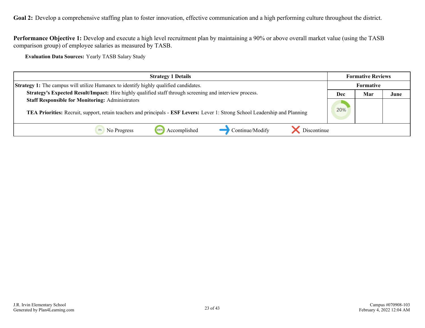<span id="page-22-0"></span>Goal 2: Develop a comprehensive staffing plan to foster innovation, effective communication and a high performing culture throughout the district.

**Performance Objective 1:** Develop and execute a high level recruitment plan by maintaining a 90% or above overall market value (using the TASB comparison group) of employee salaries as measured by TASB.

**Evaluation Data Sources:** Yearly TASB Salary Study

| <b>Strategy 1 Details</b>                                                                                                                                                                | <b>Formative Reviews</b> |                  |      |
|------------------------------------------------------------------------------------------------------------------------------------------------------------------------------------------|--------------------------|------------------|------|
| <b>Strategy 1:</b> The campus will utilize Humanex to identify highly qualified candidates.                                                                                              |                          | <b>Formative</b> |      |
| Strategy's Expected Result/Impact: Hire highly qualified staff through screening and interview process.                                                                                  | Dec                      | Mar              | June |
| <b>Staff Responsible for Monitoring: Administrators</b><br>TEA Priorities: Recruit, support, retain teachers and principals - ESF Levers: Lever 1: Strong School Leadership and Planning | 20%                      |                  |      |
| Continue/Modify<br>Discontinue<br>Accomplished<br>1009<br>No Progress                                                                                                                    |                          |                  |      |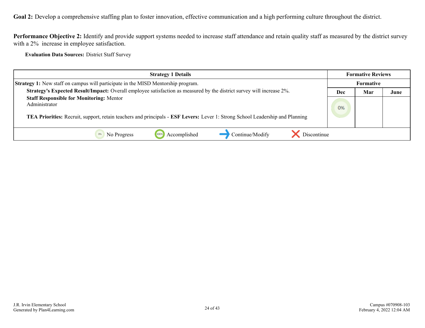**Goal 2:** Develop a comprehensive staffing plan to foster innovation, effective communication and a high performing culture throughout the district.

**Performance Objective 2:** Identify and provide support systems needed to increase staff attendance and retain quality staff as measured by the district survey with a 2% increase in employee satisfaction.

**Evaluation Data Sources:** District Staff Survey

| <b>Strategy 1 Details</b>                                                                                                                                                                         |     | <b>Formative Reviews</b> |      |  |
|---------------------------------------------------------------------------------------------------------------------------------------------------------------------------------------------------|-----|--------------------------|------|--|
| <b>Strategy 1:</b> New staff on campus will participate in the MISD Mentorship program.                                                                                                           |     | <b>Formative</b>         |      |  |
| <b>Strategy's Expected Result/Impact:</b> Overall employee satisfaction as measured by the district survey will increase 2%.                                                                      | Dec | Mar                      | June |  |
| <b>Staff Responsible for Monitoring: Mentor</b><br>Administrator<br>TEA Priorities: Recruit, support, retain teachers and principals - ESF Levers: Lever 1: Strong School Leadership and Planning | 0%  |                          |      |  |
| Discontinue<br>Continue/Modify<br>Accomplished<br>No Progress<br>1009                                                                                                                             |     |                          |      |  |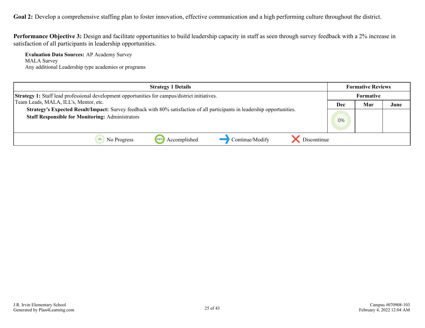Goal 2: Develop a comprehensive staffing plan to foster innovation, effective communication and a high performing culture throughout the district.

**Performance Objective 3:** Design and facilitate opportunities to build leadership capacity in staff as seen through survey feedback with a 2% increase in satisfaction of all participants in leadership opportunities.

**Evaluation Data Sources:** AP Academy Survey MALA Survey Any additional Leadership type academies or programs

| <b>Strategy 1 Details</b>                                                                                                                                                                   | <b>Formative Reviews</b> |     |      |
|---------------------------------------------------------------------------------------------------------------------------------------------------------------------------------------------|--------------------------|-----|------|
| Strategy 1: Staff lead professional development opportunities for campus/district initiatives.                                                                                              | Formative                |     |      |
| Team Leads, MALA, ILL's, Mentor, etc.                                                                                                                                                       | Dec                      | Mar | June |
| <b>Strategy's Expected Result/Impact:</b> Survey feedback with 80% satisfaction of all participants in leadership opportunities.<br><b>Staff Responsible for Monitoring: Administrators</b> | 0%                       |     |      |
| Continue/Modify<br>Discontinue<br>Accomplished<br>No Progress                                                                                                                               |                          |     |      |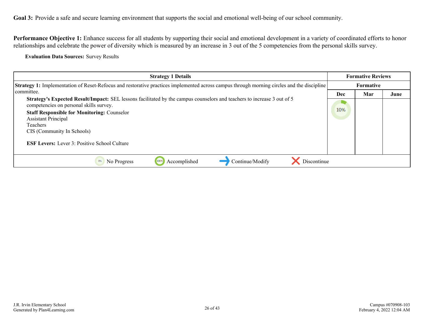<span id="page-25-0"></span>Performance Objective 1: Enhance success for all students by supporting their social and emotional development in a variety of coordinated efforts to honor relationships and celebrate the power of diversity which is measured by an increase in 3 out of the 5 competencies from the personal skills survey.

**Evaluation Data Sources:** Survey Results

| <b>Strategy 1 Details</b>                                                                                                                                                               |     | <b>Formative Reviews</b> |      |  |  |
|-----------------------------------------------------------------------------------------------------------------------------------------------------------------------------------------|-----|--------------------------|------|--|--|
| <b>Strategy 1:</b> Implementation of Reset-Refocus and restorative practices implemented across campus through morning circles and the discipline                                       |     | <b>Formative</b>         |      |  |  |
| committee.<br><b>Strategy's Expected Result/Impact:</b> SEL lessons facilitated by the campus counselors and teachers to increase 3 out of 5<br>competencies on personal skills survey. |     | Mar                      | June |  |  |
|                                                                                                                                                                                         |     |                          |      |  |  |
| <b>Staff Responsible for Monitoring: Counselor</b>                                                                                                                                      | 10% |                          |      |  |  |
| <b>Assistant Principal</b><br>Teachers                                                                                                                                                  |     |                          |      |  |  |
| CIS (Community In Schools)                                                                                                                                                              |     |                          |      |  |  |
| <b>ESF Levers:</b> Lever 3: Positive School Culture                                                                                                                                     |     |                          |      |  |  |
| Accomplished<br>Continue/Modify<br>0%<br>No Progress<br>100%<br>Discontinue                                                                                                             |     |                          |      |  |  |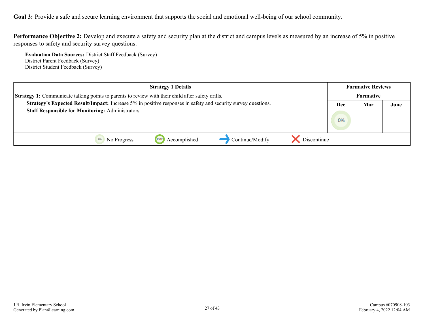**Performance Objective 2:** Develop and execute a safety and security plan at the district and campus levels as measured by an increase of 5% in positive responses to safety and security survey questions.

**Evaluation Data Sources:** District Staff Feedback (Survey) District Parent Feedback (Survey) District Student Feedback (Survey)

| <b>Strategy 1 Details</b>                                                                                     | <b>Formative Reviews</b> |                  |      |  |
|---------------------------------------------------------------------------------------------------------------|--------------------------|------------------|------|--|
| Strategy 1: Communicate talking points to parents to review with their child after safety drills.             |                          | <b>Formative</b> |      |  |
| Strategy's Expected Result/Impact: Increase 5% in positive responses in safety and security survey questions. | Dec                      | Mar              | June |  |
| <b>Staff Responsible for Monitoring: Administrators</b>                                                       |                          |                  |      |  |
|                                                                                                               |                          |                  |      |  |
|                                                                                                               |                          |                  |      |  |
| Discontinue<br>Continue/Modify<br>Accomplished<br>No Progress                                                 |                          |                  |      |  |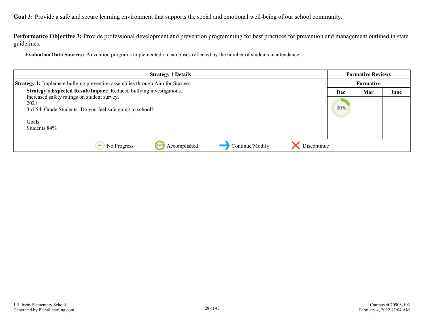**Performance Objective 3:** Provide professional development and prevention programming for best practices for prevention and management outlined in state guidelines.

**Evaluation Data Sources:** Prevention programs implemented on campuses reflected by the number of students in attendance.

| <b>Strategy 1 Details</b>                                                           |            | <b>Formative Reviews</b> |      |  |
|-------------------------------------------------------------------------------------|------------|--------------------------|------|--|
| <b>Strategy 1:</b> Implement bullying prevention assemblies through Aim for Success |            | Formative                |      |  |
| Strategy's Expected Result/Impact: Reduced bullying investigations.                 | <b>Dec</b> | Mar                      | June |  |
| Increased safety ratings on student survey.                                         |            |                          |      |  |
| 2021                                                                                | 20%        |                          |      |  |
| 3rd-5th Grade Students-Do you feel safe going to school?                            |            |                          |      |  |
| Goals                                                                               |            |                          |      |  |
| Students 84%                                                                        |            |                          |      |  |
|                                                                                     |            |                          |      |  |
| Discontinue<br>Accomplished<br>Continue/Modify<br>0%<br>No Progress<br>100%         |            |                          |      |  |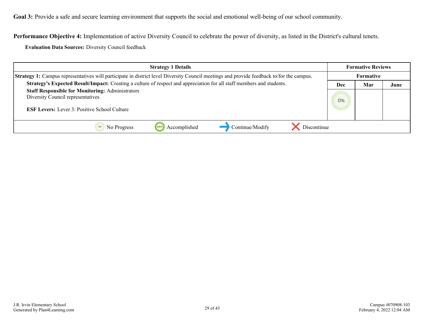**Performance Objective 4:** Implementation of active Diversity Council to celebrate the power of diversity, as listed in the District's cultural tenets.

**Evaluation Data Sources:** Diversity Council feedback

| <b>Strategy 1 Details</b>                                                                                                                           | <b>Formative Reviews</b> |     |      |
|-----------------------------------------------------------------------------------------------------------------------------------------------------|--------------------------|-----|------|
| <b>Strategy 1:</b> Campus representatives will participate in district level Diversity Council meetings and provide feedback to/for the campus.     | Formative                |     |      |
| Strategy's Expected Result/Impact: Creating a culture of respect and appreciation for all staff members and students.                               | Dec                      | Mar | June |
| <b>Staff Responsible for Monitoring: Administrators</b><br>Diversity Council representatives<br><b>ESF Levers:</b> Lever 3: Positive School Culture |                          |     |      |
| Continue/Modify<br>Discontinue<br>100<br>Accomplished<br>No Progress                                                                                |                          |     |      |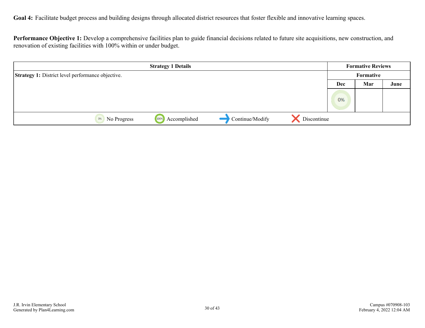<span id="page-29-0"></span>Goal 4: Facilitate budget process and building designs through allocated district resources that foster flexible and innovative learning spaces.

**Performance Objective 1:** Develop a comprehensive facilities plan to guide financial decisions related to future site acquisitions, new construction, and renovation of existing facilities with 100% within or under budget.

|                                                          | <b>Strategy 1 Details</b> |                 |             |     | <b>Formative Reviews</b> |      |
|----------------------------------------------------------|---------------------------|-----------------|-------------|-----|--------------------------|------|
| <b>Strategy 1:</b> District level performance objective. |                           | Formative       |             |     |                          |      |
|                                                          |                           |                 |             | Dec | Mar                      | June |
|                                                          |                           |                 |             | 0%  |                          |      |
| 100%<br>No Progress<br>0%                                | Accomplished              | Continue/Modify | Discontinue |     |                          |      |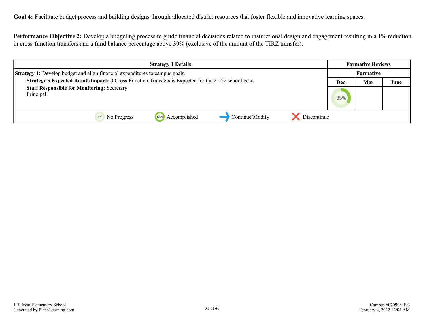**Goal 4:** Facilitate budget process and building designs through allocated district resources that foster flexible and innovative learning spaces.

**Performance Objective 2:** Develop a budgeting process to guide financial decisions related to instructional design and engagement resulting in a 1% reduction in cross-function transfers and a fund balance percentage above 30% (exclusive of the amount of the TIRZ transfer).

| <b>Strategy 1 Details</b>                                                                            | <b>Formative Reviews</b> |     |      |
|------------------------------------------------------------------------------------------------------|--------------------------|-----|------|
| <b>Strategy 1:</b> Develop budget and align financial expenditures to campus goals.                  | <b>Formative</b>         |     |      |
| Strategy's Expected Result/Impact: 0 Cross-Function Transfers is Expected for the 21-22 school year. | Dec                      | Mar | June |
| <b>Staff Responsible for Monitoring: Secretary</b><br>Principal                                      | 35%                      |     |      |
| Continue/Modify<br>Accomplished<br>Discontinue<br>1009<br>No Progress                                |                          |     |      |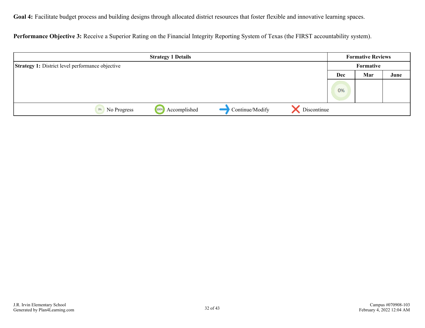**Goal 4:** Facilitate budget process and building designs through allocated district resources that foster flexible and innovative learning spaces.

**Performance Objective 3:** Receive a Superior Rating on the Financial Integrity Reporting System of Texas (the FIRST accountability system).

|                                                         | <b>Strategy 1 Details</b> |                 |             |     | <b>Formative Reviews</b> |      |
|---------------------------------------------------------|---------------------------|-----------------|-------------|-----|--------------------------|------|
| <b>Strategy 1:</b> District level performance objective |                           | Formative       |             |     |                          |      |
|                                                         |                           |                 |             | Dec | Mar                      | June |
|                                                         |                           |                 |             | 0%  |                          |      |
| 0%<br>No Progress                                       | Accomplished<br>100%      | Continue/Modify | Discontinue |     |                          |      |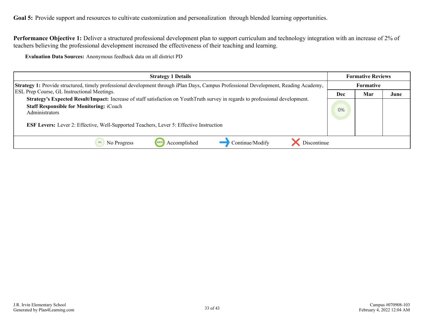<span id="page-32-0"></span>Goal 5: Provide support and resources to cultivate customization and personalization through blended learning opportunities.

**Performance Objective 1:** Deliver a structured professional development plan to support curriculum and technology integration with an increase of 2% of teachers believing the professional development increased the effectiveness of their teaching and learning.

**Evaluation Data Sources:** Anonymous feedback data on all district PD

| <b>Strategy 1 Details</b>                                                                                                                                                                           |    | <b>Formative Reviews</b> |      |  |
|-----------------------------------------------------------------------------------------------------------------------------------------------------------------------------------------------------|----|--------------------------|------|--|
| Strategy 1: Provide structured, timely professional development through iPlan Days, Campus Professional Development, Reading Academy,<br><b>ESL Prep Course, GL Instructional Meetings.</b>         |    | <b>Formative</b>         |      |  |
|                                                                                                                                                                                                     |    | Mar                      | June |  |
| Strategy's Expected Result/Impact: Increase of staff satisfaction on YouthTruth survey in regards to professional development.<br><b>Staff Responsible for Monitoring: iCoach</b><br>Administrators | 0% |                          |      |  |
| <b>ESF Levers:</b> Lever 2: Effective, Well-Supported Teachers, Lever 5: Effective Instruction                                                                                                      |    |                          |      |  |
| Accomplished<br>Continue/Modify<br>Discontinue<br>No Progress                                                                                                                                       |    |                          |      |  |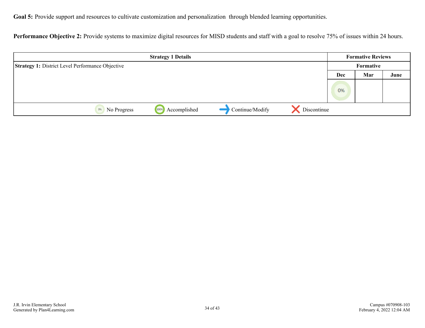Goal 5: Provide support and resources to cultivate customization and personalization through blended learning opportunities.

Performance Objective 2: Provide systems to maximize digital resources for MISD students and staff with a goal to resolve 75% of issues within 24 hours.

| <b>Strategy 1 Details</b>                               |              |                 | <b>Formative Reviews</b> |     |     |      |
|---------------------------------------------------------|--------------|-----------------|--------------------------|-----|-----|------|
| <b>Strategy 1: District Level Performance Objective</b> |              | Formative       |                          |     |     |      |
|                                                         |              |                 |                          | Dec | Mar | June |
|                                                         |              |                 |                          | 0%  |     |      |
| 100%<br>0%<br>No Progress                               | Accomplished | Continue/Modify | Discontinue              |     |     |      |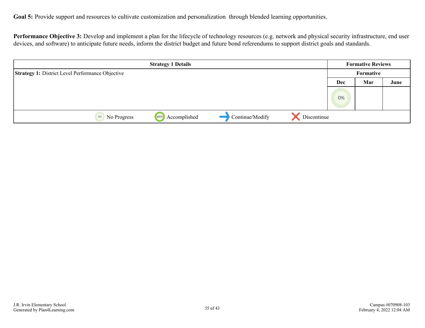Goal 5: Provide support and resources to cultivate customization and personalization through blended learning opportunities.

Performance Objective 3: Develop and implement a plan for the lifecycle of technology resources (e.g. network and physical security infrastructure, end user devices, and software) to anticipate future needs, inform the district budget and future bond referendums to support district goals and standards.

|                                                         | <b>Strategy 1 Details</b> |                 |             |     | <b>Formative Reviews</b> |      |
|---------------------------------------------------------|---------------------------|-----------------|-------------|-----|--------------------------|------|
| <b>Strategy 1: District Level Performance Objective</b> |                           |                 | Formative   |     |                          |      |
|                                                         |                           |                 |             | Dec | Mar                      | June |
|                                                         |                           |                 |             |     |                          |      |
|                                                         |                           |                 |             | 0%  |                          |      |
| No Progress<br>0%                                       | Accomplished<br>100%      | Continue/Modify | Discontinue |     |                          |      |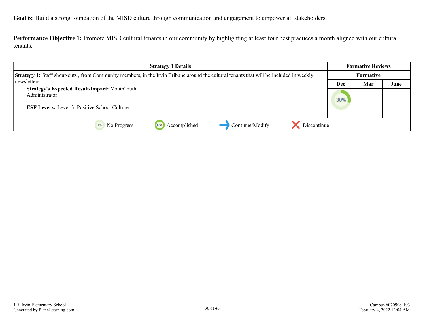<span id="page-35-0"></span>**Goal 6:** Build a strong foundation of the MISD culture through communication and engagement to empower all stakeholders.

**Performance Objective 1:** Promote MISD cultural tenants in our community by highlighting at least four best practices a month aligned with our cultural tenants.

| <b>Strategy 1 Details</b>                                                                                                                     |     | <b>Formative Reviews</b> |      |
|-----------------------------------------------------------------------------------------------------------------------------------------------|-----|--------------------------|------|
| <b>Strategy 1:</b> Staff shout-outs, from Community members, in the Irvin Tribune around the cultural tenants that will be included in weekly |     | Formative                |      |
| newsletters.                                                                                                                                  | Dec | Mar                      | June |
| <b>Strategy's Expected Result/Impact: YouthTruth</b><br>Administrator<br><b>ESF Levers:</b> Lever 3: Positive School Culture                  | 30% |                          |      |
| Discontinue<br>Continue/Modify<br>Accomplished<br>No Progress                                                                                 |     |                          |      |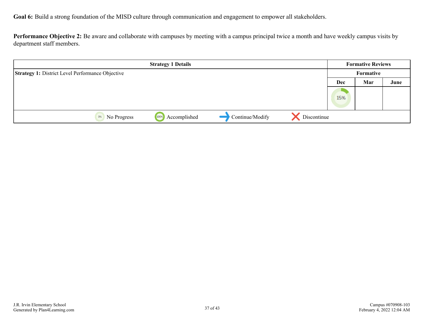**Goal 6:** Build a strong foundation of the MISD culture through communication and engagement to empower all stakeholders.

**Performance Objective 2:** Be aware and collaborate with campuses by meeting with a campus principal twice a month and have weekly campus visits by department staff members.

|                                                         | <b>Strategy 1 Details</b> |                 |             |            | <b>Formative Reviews</b> |      |
|---------------------------------------------------------|---------------------------|-----------------|-------------|------------|--------------------------|------|
| <b>Strategy 1: District Level Performance Objective</b> |                           |                 |             |            | Formative                |      |
|                                                         |                           |                 |             | <b>Dec</b> | Mar                      | June |
|                                                         |                           |                 |             | 15%        |                          |      |
| No Progress<br>0%                                       | Accomplished<br>100%      | Continue/Modify | Discontinue |            |                          |      |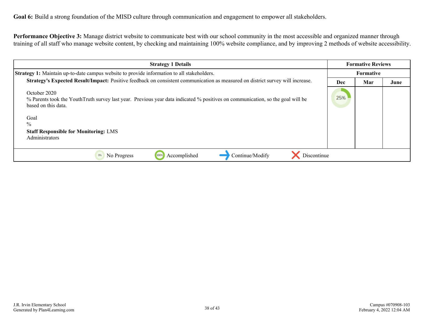**Performance Objective 3:** Manage district website to communicate best with our school community in the most accessible and organized manner through training of all staff who manage website content, by checking and maintaining 100% website compliance, and by improving 2 methods of website accessibility.

| <b>Strategy 1 Details</b>                                                                                                                                                                                                                                |     | <b>Formative Reviews</b> |      |  |
|----------------------------------------------------------------------------------------------------------------------------------------------------------------------------------------------------------------------------------------------------------|-----|--------------------------|------|--|
| Strategy 1: Maintain up-to-date campus website to provide information to all stakeholders.                                                                                                                                                               |     | <b>Formative</b>         |      |  |
| Strategy's Expected Result/Impact: Positive feedback on consistent communication as measured on district survey will increase.                                                                                                                           |     | Mar                      | June |  |
| October 2020<br>% Parents took the Youth Truth survey last year. Previous year data indicated % positives on communication, so the goal will be<br>based on this data.<br>Goal<br>$\%$<br><b>Staff Responsible for Monitoring: LMS</b><br>Administrators | 25% |                          |      |  |
| Accomplished<br>Continue/Modify<br>Discontinue<br>0%<br>No Progress<br>100%                                                                                                                                                                              |     |                          |      |  |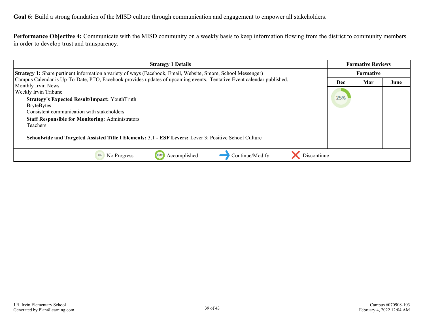**Goal 6:** Build a strong foundation of the MISD culture through communication and engagement to empower all stakeholders.

**Performance Objective 4:** Communicate with the MISD community on a weekly basis to keep information flowing from the district to community members in order to develop trust and transparency.

| <b>Strategy 1 Details</b>                                                                                                                                                                                                                                                                                                                                                                                                                                                         |  | <b>Formative Reviews</b> |      |  |
|-----------------------------------------------------------------------------------------------------------------------------------------------------------------------------------------------------------------------------------------------------------------------------------------------------------------------------------------------------------------------------------------------------------------------------------------------------------------------------------|--|--------------------------|------|--|
| Strategy 1: Share pertinent information a variety of ways (Facebook, Email, Website, Smore, School Messenger)<br>Campus Calendar is Up-To-Date, PTO, Facebook provides updates of upcoming events. Tentative Event calendar published.<br>Monthly Irvin News<br><b>Weekly Irvin Tribune</b><br><b>Strategy's Expected Result/Impact: YouthTruth</b><br><b>BryteBytes</b><br>Consistent communication with stakeholders<br><b>Staff Responsible for Monitoring: Administrators</b> |  | <b>Formative</b>         |      |  |
|                                                                                                                                                                                                                                                                                                                                                                                                                                                                                   |  | Mar                      | June |  |
|                                                                                                                                                                                                                                                                                                                                                                                                                                                                                   |  |                          |      |  |
| Teachers<br>Schoolwide and Targeted Assisted Title I Elements: 3.1 - ESF Levers: Lever 3: Positive School Culture                                                                                                                                                                                                                                                                                                                                                                 |  |                          |      |  |
| Discontinue<br>Accomplished<br>Continue/Modify<br>100%<br>No Progress                                                                                                                                                                                                                                                                                                                                                                                                             |  |                          |      |  |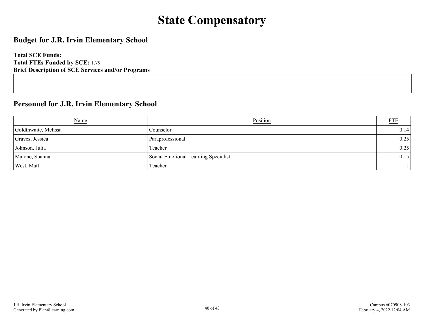## **State Compensatory**

### <span id="page-39-0"></span>**Budget for J.R. Irvin Elementary School**

**Total SCE Funds: Total FTEs Funded by SCE:** 1.79 **Brief Description of SCE Services and/or Programs**

### **Personnel for J.R. Irvin Elementary School**

| Name                 | Position                             | <b>FTE</b> |
|----------------------|--------------------------------------|------------|
| Goldthwaite, Melissa | Counselor                            | 0.14       |
| Graves, Jessica      | Paraprofessional                     | 0.25       |
| Johnson, Julia       | Teacher                              | 0.25       |
| Malone, Shanna       | Social Emotional Learning Specialist | 0.15       |
| West, Matt           | Teacher                              |            |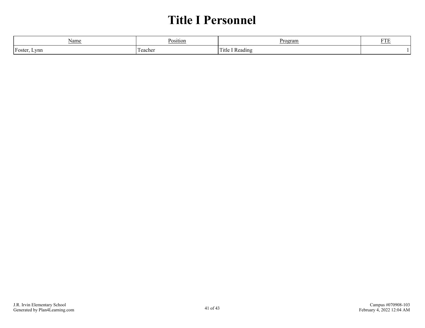## **Title I Personnel**

<span id="page-40-0"></span>

| Name     | POSITIOL | Program | <b>DTP</b><br>L I T |
|----------|----------|---------|---------------------|
| 'Foster, | l m      | Fitle   |                     |
| Lynn     | l eachei | Reading |                     |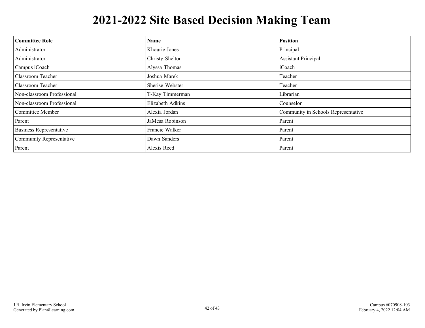# **2021-2022 Site Based Decision Making Team**

<span id="page-41-0"></span>

| <b>Committee Role</b>          | <b>Name</b>      | <b>Position</b>                     |
|--------------------------------|------------------|-------------------------------------|
| Administrator                  | Khourie Jones    | Principal                           |
| Administrator                  | Christy Shelton  | <b>Assistant Principal</b>          |
| Campus iCoach                  | Alyssa Thomas    | iCoach                              |
| Classroom Teacher              | Joshua Marek     | Teacher                             |
| <b>Classroom Teacher</b>       | Sherise Webster  | Teacher                             |
| Non-classroom Professional     | T-Kay Timmerman  | Librarian                           |
| Non-classroom Professional     | Elizabeth Adkins | Counselor                           |
| Committee Member               | Alexia Jordan    | Community in Schools Representative |
| Parent                         | JaMesa Robinson  | Parent                              |
| <b>Business Representative</b> | Francie Walker   | Parent                              |
| Community Representative       | Dawn Sanders     | Parent                              |
| Parent                         | Alexis Reed      | Parent                              |